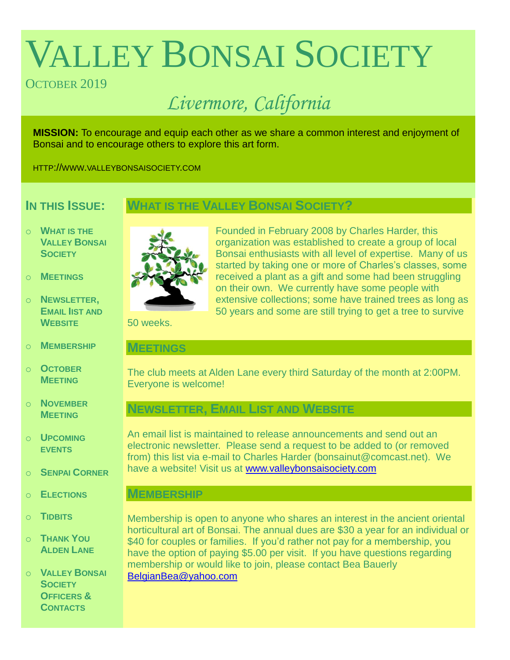# VALLEY BONSAI SOCIETY

# OCTOBER 2019

# *Livermore, California*

**MISSION:** To encourage and equip each other as we share a common interest and enjoyment of Bonsai and to encourage others to explore this art form.

HTTP://WWW.VALLEYBONSAISOCIETY.COM

# **IN THIS ISSUE:**

# **WHAT IS THE VALLEY BONSAI SOCIETY?**

- o **WHAT IS THE VALLEY BONSAI SOCIETY**
- o **MEETINGS**
- o **NEWSLETTER, EMAIL IIST AND WEBSITE**
- o **MEMBERSHIP**
- o **OCTOBER MEETING**
- o **NOVEMBER MEETING**
- o **UPCOMING EVENTS**
- o **SENPAI CORNER**
- o **ELECTIONS**
- o **TIDBITS**
- o **THANK YOU ALDEN LANE**

o **VALLEY BONSAI SOCIETY OFFICERS & CONTACTS**



Founded in February 2008 by Charles Harder, this organization was established to create a group of local Bonsai enthusiasts with all level of expertise. Many of us started by taking one or more of Charles's classes, some received a plant as a gift and some had been struggling on their own. We currently have some people with extensive collections; some have trained trees as long as 50 years and some are still trying to get a tree to survive

50 weeks.

#### **MEETINGS**

The club meets at Alden Lane every third Saturday of the month at 2:00PM. Everyone is welcome!

# **NEWSLETTER, EMAIL LIST AND WEBSITE**

An email list is maintained to release announcements and send out an electronic newsletter. Please send a request to be added to (or removed from) this list via e-mail to Charles Harder (bonsainut@comcast.net). We have a website! Visit us at [www.valleybonsaisociety.com](http://www.valleybonsaisociety.com/)

#### **MEMBERSHIP**

Membership is open to anyone who shares an interest in the ancient oriental horticultural art of Bonsai. The annual dues are \$30 a year for an individual or \$40 for couples or families. If you'd rather not pay for a membership, you have the option of paying \$5.00 per visit. If you have questions regarding membership or would like to join, please contact Bea Bauerly [BelgianBea@yahoo.com](mailto:BelgianBea@yahoo.com)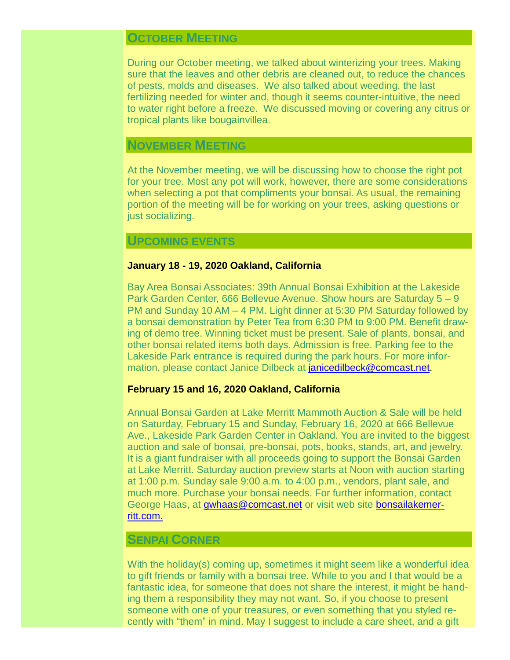# **OCTOBER MEETING**

During our October meeting, we talked about winterizing your trees. Making sure that the leaves and other debris are cleaned out, to reduce the chances of pests, molds and diseases. We also talked about weeding, the last fertilizing needed for winter and, though it seems counter-intuitive, the need to water right before a freeze. We discussed moving or covering any citrus or tropical plants like bougainvillea.

#### **NOVEMBER MEETING**

At the November meeting, we will be discussing how to choose the right pot for your tree. Most any pot will work, however, there are some considerations when selecting a pot that compliments your bonsai. As usual, the remaining portion of the meeting will be for working on your trees, asking questions or just socializing.

#### **UPCOMING EVENTS**

#### **January 18 - 19, 2020 Oakland, California**

Bay Area Bonsai Associates: 39th Annual Bonsai Exhibition at the Lakeside Park Garden Center, 666 Bellevue Avenue. Show hours are Saturday 5 – 9 PM and Sunday 10 AM – 4 PM. Light dinner at 5:30 PM Saturday followed by a bonsai demonstration by Peter Tea from 6:30 PM to 9:00 PM. Benefit drawing of demo tree. Winning ticket must be present. Sale of plants, bonsai, and other bonsai related items both days. Admission is free. Parking fee to the Lakeside Park entrance is required during the park hours. For more information, please contact Janice Dilbeck at [janicedilbeck@comcast.net.](mailto:janicedilbeck@comcast.net)

#### **February 15 and 16, 2020 Oakland, California**

Annual Bonsai Garden at Lake Merritt Mammoth Auction & Sale will be held on Saturday, February 15 and Sunday, February 16, 2020 at 666 Bellevue Ave., Lakeside Park Garden Center in Oakland. You are invited to the biggest auction and sale of bonsai, pre-bonsai, pots, books, stands, art, and jewelry. It is a giant fundraiser with all proceeds going to support the Bonsai Garden at Lake Merritt. Saturday auction preview starts at Noon with auction starting at 1:00 p.m. Sunday sale 9:00 a.m. to 4:00 p.m., vendors, plant sale, and much more. Purchase your bonsai needs. For further information, contact George Haas, at [gwhaas@comcast.net](mailto:gwhaas@comcast.net) or visit web site [bonsailakemer](https://www.bonsailakemerritt.com/)[ritt.com.](https://www.bonsailakemerritt.com/)

#### **SENPAI CORNER**

With the holiday(s) coming up, sometimes it might seem like a wonderful idea to gift friends or family with a bonsai tree. While to you and I that would be a fantastic idea, for someone that does not share the interest, it might be handing them a responsibility they may not want. So, if you choose to present someone with one of your treasures, or even something that you styled recently with "them" in mind. May I suggest to include a care sheet, and a gift